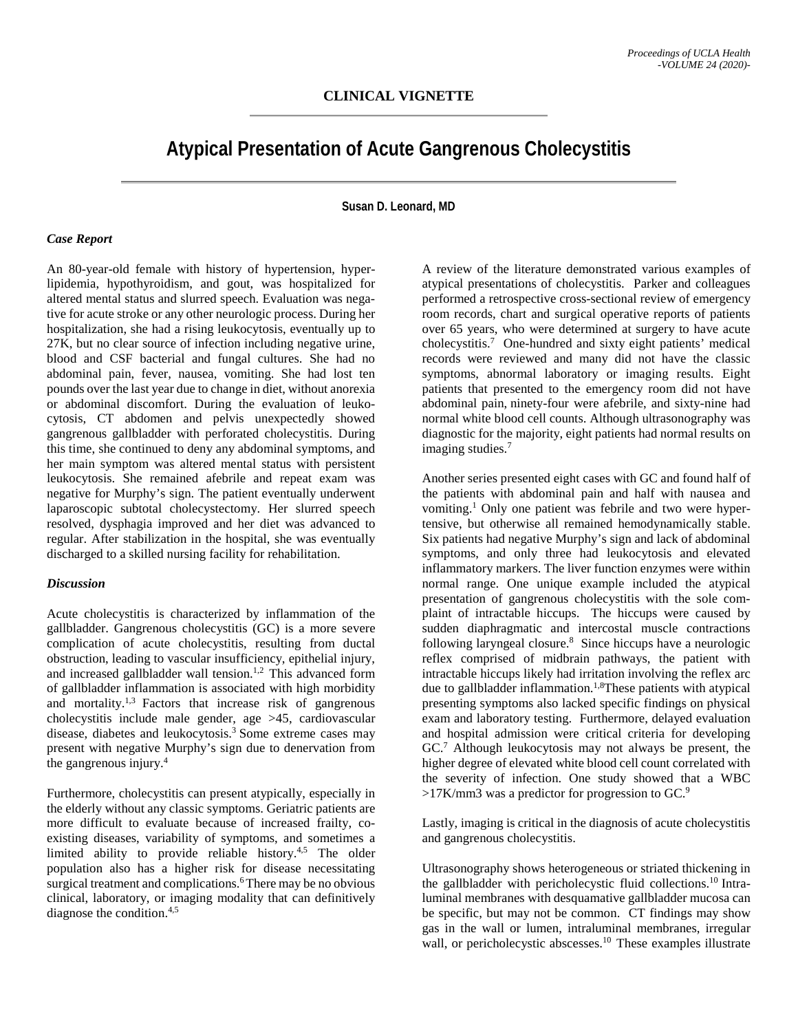# **Atypical Presentation of Acute Gangrenous Cholecystitis**

**Susan D. Leonard, MD**

#### *Case Report*

An 80-year-old female with history of hypertension, hyperlipidemia, hypothyroidism, and gout, was hospitalized for altered mental status and slurred speech. Evaluation was negative for acute stroke or any other neurologic process. During her hospitalization, she had a rising leukocytosis, eventually up to 27K, but no clear source of infection including negative urine, blood and CSF bacterial and fungal cultures. She had no abdominal pain, fever, nausea, vomiting. She had lost ten pounds over the last year due to change in diet, without anorexia or abdominal discomfort. During the evaluation of leukocytosis, CT abdomen and pelvis unexpectedly showed gangrenous gallbladder with perforated cholecystitis. During this time, she continued to deny any abdominal symptoms, and her main symptom was altered mental status with persistent leukocytosis. She remained afebrile and repeat exam was negative for Murphy's sign. The patient eventually underwent laparoscopic subtotal cholecystectomy. Her slurred speech resolved, dysphagia improved and her diet was advanced to regular. After stabilization in the hospital, she was eventually discharged to a skilled nursing facility for rehabilitation.

### *Discussion*

Acute cholecystitis is characterized by inflammation of the gallbladder. Gangrenous cholecystitis (GC) is a more severe complication of acute cholecystitis, resulting from ductal obstruction, leading to vascular insufficiency, epithelial injury, and increased gallbladder wall tension.<sup>1,2</sup> This advanced form of gallbladder inflammation is associated with high morbidity and mortality.<sup>1,3</sup> Factors that increase risk of gangrenous cholecystitis include male gender, age >45, cardiovascular disease, diabetes and leukocytosis.<sup>3</sup> Some extreme cases may present with negative Murphy's sign due to denervation from the gangrenous injury.4

Furthermore, cholecystitis can present atypically, especially in the elderly without any classic symptoms. Geriatric patients are more difficult to evaluate because of increased frailty, coexisting diseases, variability of symptoms, and sometimes a limited ability to provide reliable history.<sup>4,5</sup> The older population also has a higher risk for disease necessitating surgical treatment and complications.<sup>6</sup> There may be no obvious clinical, laboratory, or imaging modality that can definitively diagnose the condition.4,5

A review of the literature demonstrated various examples of atypical presentations of cholecystitis. Parker and colleagues performed a retrospective cross-sectional review of emergency room records, chart and surgical operative reports of patients over 65 years, who were determined at surgery to have acute cholecystitis.7 One-hundred and sixty eight patients' medical records were reviewed and many did not have the classic symptoms, abnormal laboratory or imaging results. Eight patients that presented to the emergency room did not have abdominal pain, ninety-four were afebrile, and sixty-nine had normal white blood cell counts. Although ultrasonography was diagnostic for the majority, eight patients had normal results on imaging studies.<sup>7</sup>

Another series presented eight cases with GC and found half of the patients with abdominal pain and half with nausea and vomiting.1 Only one patient was febrile and two were hypertensive, but otherwise all remained hemodynamically stable. Six patients had negative Murphy's sign and lack of abdominal symptoms, and only three had leukocytosis and elevated inflammatory markers. The liver function enzymes were within normal range. One unique example included the atypical presentation of gangrenous cholecystitis with the sole complaint of intractable hiccups. The hiccups were caused by sudden diaphragmatic and intercostal muscle contractions following laryngeal closure.<sup>8</sup> Since hiccups have a neurologic reflex comprised of midbrain pathways, the patient with intractable hiccups likely had irritation involving the reflex arc due to gallbladder inflammation.<sup>1,8</sup>These patients with atypical presenting symptoms also lacked specific findings on physical exam and laboratory testing. Furthermore, delayed evaluation and hospital admission were critical criteria for developing GC.7 Although leukocytosis may not always be present, the higher degree of elevated white blood cell count correlated with the severity of infection. One study showed that a WBC  $>17$ K/mm3 was a predictor for progression to GC.<sup>9</sup>

Lastly, imaging is critical in the diagnosis of acute cholecystitis and gangrenous cholecystitis.

Ultrasonography shows heterogeneous or striated thickening in the gallbladder with pericholecystic fluid collections.10 Intraluminal membranes with desquamative gallbladder mucosa can be specific, but may not be common. CT findings may show gas in the wall or lumen, intraluminal membranes, irregular wall, or pericholecystic abscesses.<sup>10</sup> These examples illustrate